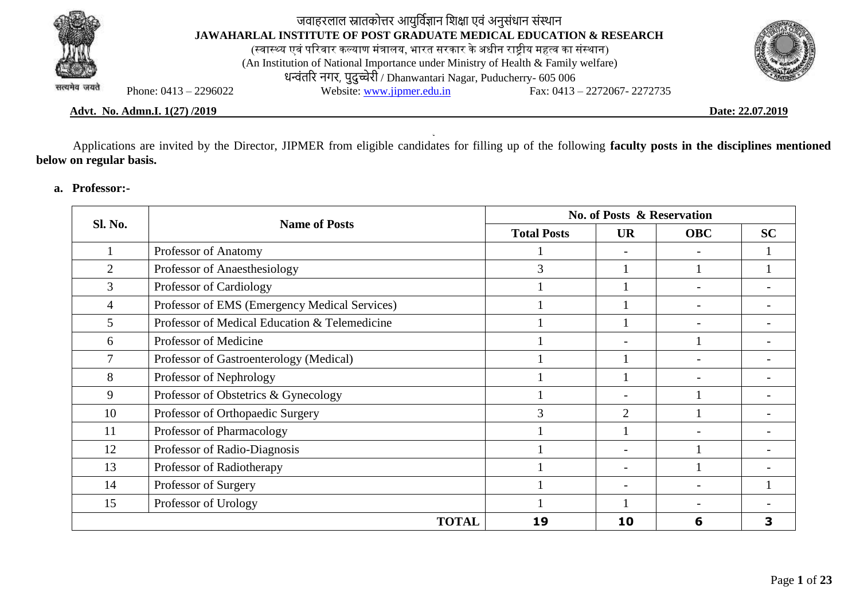

# जवाहरलाल स्नातकोत्तर आयुर्विज्ञान शिक्षा एवं अनुसंधान संस्थान **JAWAHARLAL INSTITUTE OF POST GRADUATE MEDICAL EDUCATION & RESEARCH**

(स्वास्थ्य एवं परिवार कल्याण मंत्रालय, भारत सरकार के अधीन राष्ट्रीय महत्व का संस्थान) (An Institution of National Importance under Ministry of Health & Family welfare) धन्वंतरि नगर, पुदुच्चेरी / Dhanwantari Nagar, Puducherry- 605 006<br>Website: www.jipmer.edu.in Fax: 0413 Phone: 0413 – 2296022 Website: [www.jipmer.edu.in](http://www.jipmer.edu.in/) Fax: 0413 – 2272067- 2272735



**Advt. No. Admn.I. 1(27) /2019 Date: 22.07.2019**

Applications are invited by the Director, JIPMER from eligible candidates for filling up of the following **faculty posts in the disciplines mentioned below on regular basis.**

**a. Professor:-**

| <b>Sl. No.</b> | <b>Name of Posts</b>                          | <b>No. of Posts &amp; Reservation</b> |                          |                          |           |  |  |  |
|----------------|-----------------------------------------------|---------------------------------------|--------------------------|--------------------------|-----------|--|--|--|
|                |                                               | <b>Total Posts</b>                    | <b>UR</b>                | <b>OBC</b>               | <b>SC</b> |  |  |  |
|                | Professor of Anatomy                          |                                       | $\overline{\phantom{0}}$ |                          |           |  |  |  |
| $\overline{2}$ | Professor of Anaesthesiology                  | 3                                     |                          |                          |           |  |  |  |
| 3              | Professor of Cardiology                       |                                       |                          |                          |           |  |  |  |
| 4              | Professor of EMS (Emergency Medical Services) |                                       |                          | $\overline{\phantom{a}}$ |           |  |  |  |
| 5              | Professor of Medical Education & Telemedicine |                                       |                          |                          |           |  |  |  |
| 6              | Professor of Medicine                         |                                       |                          |                          |           |  |  |  |
| 7              | Professor of Gastroenterology (Medical)       |                                       |                          |                          |           |  |  |  |
| 8              | Professor of Nephrology                       |                                       |                          |                          |           |  |  |  |
| 9              | Professor of Obstetrics & Gynecology          |                                       |                          |                          |           |  |  |  |
| 10             | Professor of Orthopaedic Surgery              | 3                                     | $\overline{2}$           |                          |           |  |  |  |
| 11             | Professor of Pharmacology                     |                                       |                          |                          |           |  |  |  |
| 12             | Professor of Radio-Diagnosis                  |                                       | $\overline{\phantom{a}}$ |                          |           |  |  |  |
| 13             | Professor of Radiotherapy                     |                                       |                          |                          |           |  |  |  |
| 14             | Professor of Surgery                          |                                       |                          |                          |           |  |  |  |
| 15             | Professor of Urology                          |                                       |                          |                          |           |  |  |  |
|                | <b>TOTAL</b>                                  | 19                                    | 10                       | 6                        | 3         |  |  |  |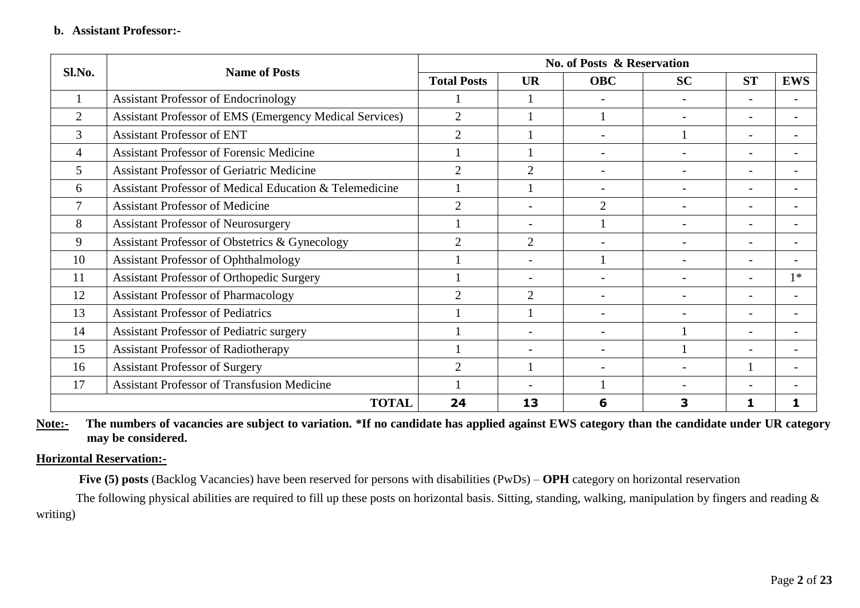| Sl.No.         | <b>Name of Posts</b>                                    | <b>No. of Posts &amp; Reservation</b> |                          |                |           |           |                          |  |  |  |  |
|----------------|---------------------------------------------------------|---------------------------------------|--------------------------|----------------|-----------|-----------|--------------------------|--|--|--|--|
|                |                                                         | <b>Total Posts</b>                    | <b>UR</b>                | <b>OBC</b>     | <b>SC</b> | <b>ST</b> | <b>EWS</b>               |  |  |  |  |
|                | <b>Assistant Professor of Endocrinology</b>             |                                       |                          |                |           |           |                          |  |  |  |  |
| $\overline{2}$ | Assistant Professor of EMS (Emergency Medical Services) | 2                                     |                          |                |           |           |                          |  |  |  |  |
| 3              | <b>Assistant Professor of ENT</b>                       | $\overline{2}$                        |                          |                |           |           |                          |  |  |  |  |
| 4              | <b>Assistant Professor of Forensic Medicine</b>         |                                       |                          |                |           |           |                          |  |  |  |  |
| 5              | <b>Assistant Professor of Geriatric Medicine</b>        | $\overline{2}$                        | $\overline{2}$           |                |           |           |                          |  |  |  |  |
| 6              | Assistant Professor of Medical Education & Telemedicine |                                       |                          |                |           |           | $\overline{\phantom{0}}$ |  |  |  |  |
|                | <b>Assistant Professor of Medicine</b>                  | $\overline{2}$                        | $\overline{\phantom{a}}$ | $\overline{2}$ |           |           | $\overline{\phantom{0}}$ |  |  |  |  |
| 8              | <b>Assistant Professor of Neurosurgery</b>              |                                       |                          |                |           |           |                          |  |  |  |  |
| 9              | Assistant Professor of Obstetrics & Gynecology          | $\overline{2}$                        | $\overline{2}$           |                |           |           |                          |  |  |  |  |
| 10             | <b>Assistant Professor of Ophthalmology</b>             |                                       |                          |                |           |           |                          |  |  |  |  |
| 11             | <b>Assistant Professor of Orthopedic Surgery</b>        |                                       |                          |                |           |           | $1*$                     |  |  |  |  |
| 12             | <b>Assistant Professor of Pharmacology</b>              | $\gamma$                              | $\mathcal{D}$            |                |           |           |                          |  |  |  |  |
| 13             | <b>Assistant Professor of Pediatrics</b>                |                                       |                          |                |           |           |                          |  |  |  |  |
| 14             | <b>Assistant Professor of Pediatric surgery</b>         |                                       | $\overline{\phantom{a}}$ |                |           |           |                          |  |  |  |  |
| 15             | <b>Assistant Professor of Radiotherapy</b>              |                                       |                          |                |           |           |                          |  |  |  |  |
| 16             | <b>Assistant Professor of Surgery</b>                   | $\overline{2}$                        |                          |                |           |           |                          |  |  |  |  |
| 17             | <b>Assistant Professor of Transfusion Medicine</b>      |                                       |                          |                |           |           |                          |  |  |  |  |
|                | <b>TOTAL</b>                                            | 24                                    | 13                       | 6              | 3         |           |                          |  |  |  |  |

Note:- The numbers of vacancies are subject to variation. \*If no candidate has applied against EWS category than the candidate under UR category **may be considered.**

## **Horizontal Reservation:-**

**Five (5) posts** (Backlog Vacancies) have been reserved for persons with disabilities (PwDs) – **OPH** category on horizontal reservation

The following physical abilities are required to fill up these posts on horizontal basis. Sitting, standing, walking, manipulation by fingers and reading  $\&$ writing)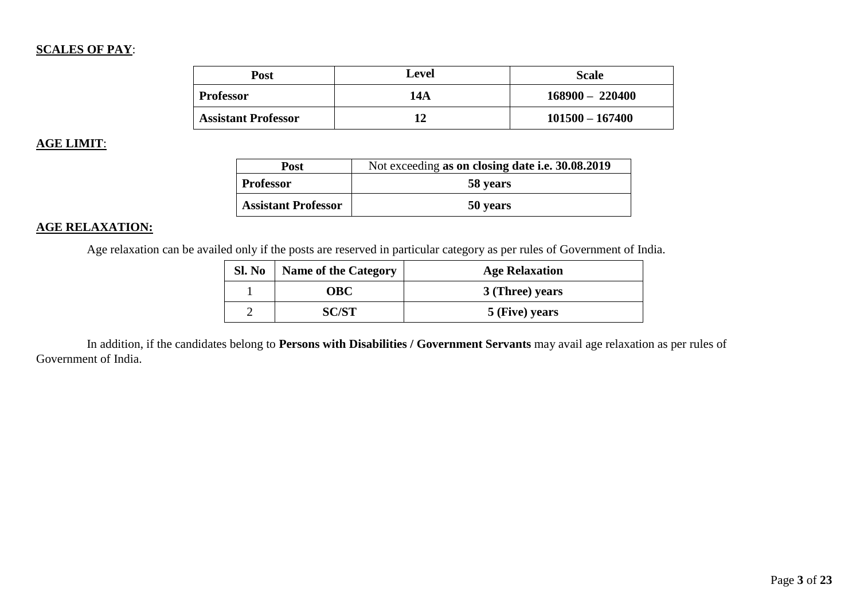## **SCALES OF PAY**:

| <b>Post</b>                | Level | <b>Scale</b>      |
|----------------------------|-------|-------------------|
| <b>Professor</b>           | 14A   | $168900 - 220400$ |
| <b>Assistant Professor</b> | 12    | $101500 - 167400$ |

## **AGE LIMIT**:

| Post                       | Not exceeding as on closing date i.e. 30.08.2019 |
|----------------------------|--------------------------------------------------|
| <b>Professor</b>           | 58 years                                         |
| <b>Assistant Professor</b> | 50 years                                         |

## **AGE RELAXATION:**

Age relaxation can be availed only if the posts are reserved in particular category as per rules of Government of India.

| Sl. No | <b>Name of the Category</b> | <b>Age Relaxation</b> |
|--------|-----------------------------|-----------------------|
|        | OBC                         | 3 (Three) years       |
|        | SC/ST                       | 5 (Five) years        |

In addition, if the candidates belong to **Persons with Disabilities / Government Servants** may avail age relaxation as per rules of Government of India.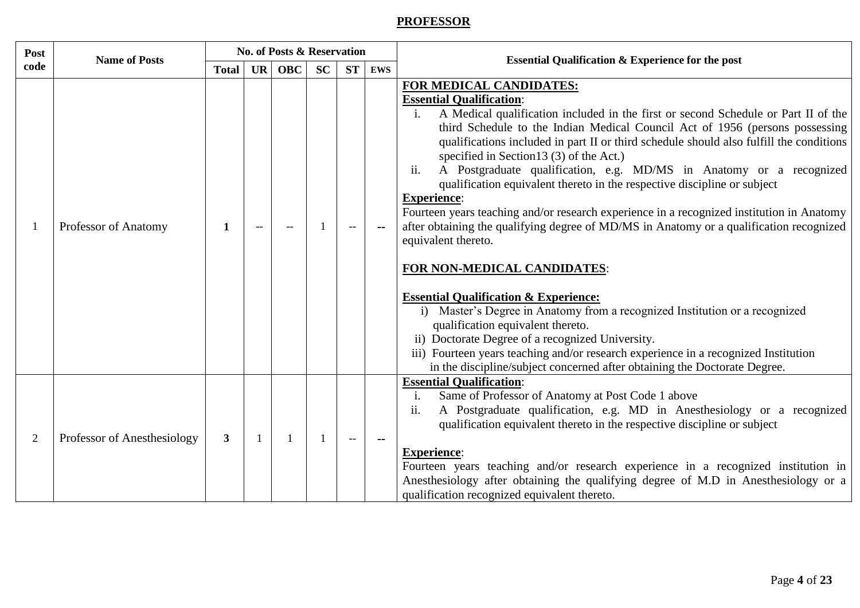# **PROFESSOR**

| Post           | <b>Name of Posts</b>        |              |           | <b>No. of Posts &amp; Reservation</b> |           |                          |            | <b>Essential Qualification &amp; Experience for the post</b>                                                                                                                                                                                                                                                                                                                                                                                                                                                                                                                                                                                                                                                                                                                                                                                                                                                                                                                                                                                                                                                                                                                                                            |
|----------------|-----------------------------|--------------|-----------|---------------------------------------|-----------|--------------------------|------------|-------------------------------------------------------------------------------------------------------------------------------------------------------------------------------------------------------------------------------------------------------------------------------------------------------------------------------------------------------------------------------------------------------------------------------------------------------------------------------------------------------------------------------------------------------------------------------------------------------------------------------------------------------------------------------------------------------------------------------------------------------------------------------------------------------------------------------------------------------------------------------------------------------------------------------------------------------------------------------------------------------------------------------------------------------------------------------------------------------------------------------------------------------------------------------------------------------------------------|
| code           |                             | <b>Total</b> | <b>UR</b> | <b>OBC</b>                            | <b>SC</b> | <b>ST</b>                | <b>EWS</b> |                                                                                                                                                                                                                                                                                                                                                                                                                                                                                                                                                                                                                                                                                                                                                                                                                                                                                                                                                                                                                                                                                                                                                                                                                         |
|                | Professor of Anatomy        | $\mathbf 1$  |           |                                       |           |                          |            | FOR MEDICAL CANDIDATES:<br><b>Essential Qualification:</b><br>A Medical qualification included in the first or second Schedule or Part II of the<br>$\mathbf{i}$ .<br>third Schedule to the Indian Medical Council Act of 1956 (persons possessing<br>qualifications included in part II or third schedule should also fulfill the conditions<br>specified in Section 13 (3) of the Act.)<br>ii.<br>A Postgraduate qualification, e.g. MD/MS in Anatomy or a recognized<br>qualification equivalent thereto in the respective discipline or subject<br><b>Experience:</b><br>Fourteen years teaching and/or research experience in a recognized institution in Anatomy<br>after obtaining the qualifying degree of MD/MS in Anatomy or a qualification recognized<br>equivalent thereto.<br>FOR NON-MEDICAL CANDIDATES:<br><b>Essential Qualification &amp; Experience:</b><br>i) Master's Degree in Anatomy from a recognized Institution or a recognized<br>qualification equivalent thereto.<br>ii) Doctorate Degree of a recognized University.<br>iii) Fourteen years teaching and/or research experience in a recognized Institution<br>in the discipline/subject concerned after obtaining the Doctorate Degree. |
| $\overline{2}$ | Professor of Anesthesiology | 3            |           |                                       |           | $\overline{\phantom{a}}$ |            | <b>Essential Qualification:</b><br>Same of Professor of Anatomy at Post Code 1 above<br>i.<br>A Postgraduate qualification, e.g. MD in Anesthesiology or a recognized<br>ii.<br>qualification equivalent thereto in the respective discipline or subject<br><b>Experience:</b><br>Fourteen years teaching and/or research experience in a recognized institution in<br>Anesthesiology after obtaining the qualifying degree of M.D in Anesthesiology or a<br>qualification recognized equivalent thereto.                                                                                                                                                                                                                                                                                                                                                                                                                                                                                                                                                                                                                                                                                                               |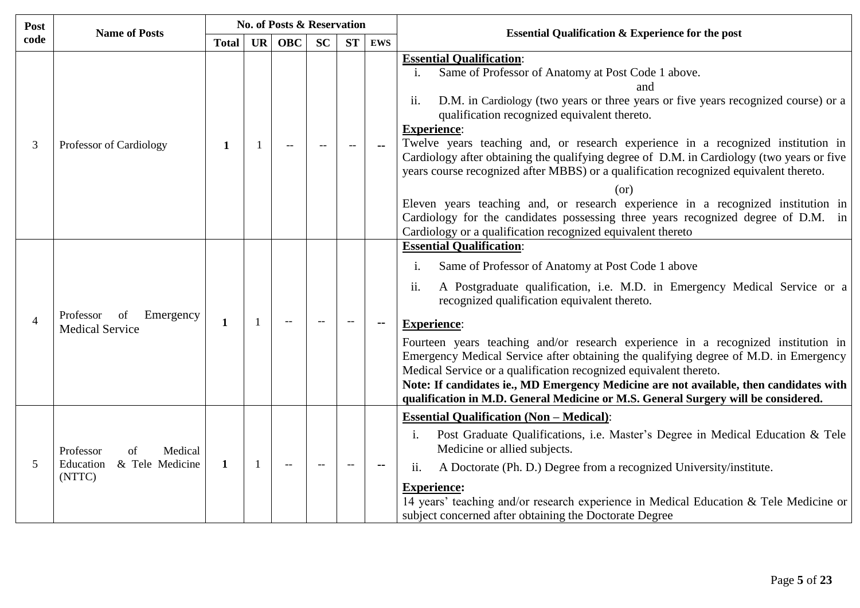| Post           | <b>Name of Posts</b>                                                 |              |              | <b>No. of Posts &amp; Reservation</b> |           |           |                | <b>Essential Qualification &amp; Experience for the post</b>                                                                                                                                                                                                                                                                                                                                                                                                                                                                                                                                                                                                                                                                                                                                                |  |  |
|----------------|----------------------------------------------------------------------|--------------|--------------|---------------------------------------|-----------|-----------|----------------|-------------------------------------------------------------------------------------------------------------------------------------------------------------------------------------------------------------------------------------------------------------------------------------------------------------------------------------------------------------------------------------------------------------------------------------------------------------------------------------------------------------------------------------------------------------------------------------------------------------------------------------------------------------------------------------------------------------------------------------------------------------------------------------------------------------|--|--|
| code           |                                                                      | <b>Total</b> | <b>UR</b>    | <b>OBC</b>                            | <b>SC</b> | <b>ST</b> | <b>EWS</b>     |                                                                                                                                                                                                                                                                                                                                                                                                                                                                                                                                                                                                                                                                                                                                                                                                             |  |  |
| 3              | Professor of Cardiology                                              | 1            |              |                                       |           | $-$       | $\overline{a}$ | <b>Essential Qualification:</b><br>Same of Professor of Anatomy at Post Code 1 above.<br>$\mathbf{i}$ .<br>and<br>ii.<br>D.M. in Cardiology (two years or three years or five years recognized course) or a<br>qualification recognized equivalent thereto.<br><b>Experience:</b><br>Twelve years teaching and, or research experience in a recognized institution in<br>Cardiology after obtaining the qualifying degree of D.M. in Cardiology (two years or five<br>years course recognized after MBBS) or a qualification recognized equivalent thereto.<br>(or)<br>Eleven years teaching and, or research experience in a recognized institution in<br>Cardiology for the candidates possessing three years recognized degree of D.M. in<br>Cardiology or a qualification recognized equivalent thereto |  |  |
| $\overline{4}$ | Emergency<br>Professor<br>οf<br><b>Medical Service</b>               | $\mathbf{1}$ |              | $-$                                   |           |           |                | <b>Essential Qualification:</b><br>Same of Professor of Anatomy at Post Code 1 above<br>i.<br>ii.<br>A Postgraduate qualification, i.e. M.D. in Emergency Medical Service or a<br>recognized qualification equivalent thereto.<br><b>Experience:</b><br>Fourteen years teaching and/or research experience in a recognized institution in<br>Emergency Medical Service after obtaining the qualifying degree of M.D. in Emergency<br>Medical Service or a qualification recognized equivalent thereto.<br>Note: If candidates ie., MD Emergency Medicine are not available, then candidates with<br>qualification in M.D. General Medicine or M.S. General Surgery will be considered.                                                                                                                      |  |  |
| 5              | Professor<br>Medical<br>of<br>Education<br>& Tele Medicine<br>(NTTC) | $\mathbf{1}$ | $\mathbf{1}$ | $\overline{\phantom{m}}$              |           |           |                | <b>Essential Qualification (Non - Medical):</b><br>Post Graduate Qualifications, i.e. Master's Degree in Medical Education & Tele<br>i.<br>Medicine or allied subjects.<br>A Doctorate (Ph. D.) Degree from a recognized University/institute.<br>ii.<br><b>Experience:</b><br>14 years' teaching and/or research experience in Medical Education & Tele Medicine or<br>subject concerned after obtaining the Doctorate Degree                                                                                                                                                                                                                                                                                                                                                                              |  |  |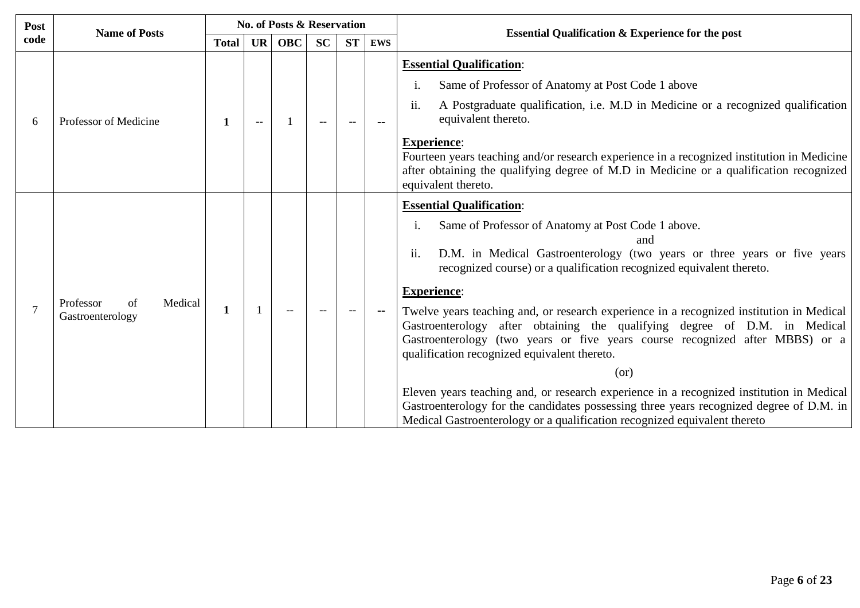| Post | <b>Name of Posts</b>                           |              |           | <b>No. of Posts &amp; Reservation</b> |           |           |            | <b>Essential Qualification &amp; Experience for the post</b>                                                                                                                                                                                                                                                                                                                                                                                                                                                                                                                                                                                                                                                                                                                                                                                                             |  |  |
|------|------------------------------------------------|--------------|-----------|---------------------------------------|-----------|-----------|------------|--------------------------------------------------------------------------------------------------------------------------------------------------------------------------------------------------------------------------------------------------------------------------------------------------------------------------------------------------------------------------------------------------------------------------------------------------------------------------------------------------------------------------------------------------------------------------------------------------------------------------------------------------------------------------------------------------------------------------------------------------------------------------------------------------------------------------------------------------------------------------|--|--|
| code |                                                | <b>Total</b> | <b>UR</b> | <b>OBC</b>                            | <b>SC</b> | <b>ST</b> | <b>EWS</b> |                                                                                                                                                                                                                                                                                                                                                                                                                                                                                                                                                                                                                                                                                                                                                                                                                                                                          |  |  |
| 6    | Professor of Medicine                          | 1            |           |                                       |           |           |            | <b>Essential Qualification:</b><br>Same of Professor of Anatomy at Post Code 1 above<br>1.<br>A Postgraduate qualification, i.e. M.D in Medicine or a recognized qualification<br>ii.<br>equivalent thereto.<br><b>Experience:</b><br>Fourteen years teaching and/or research experience in a recognized institution in Medicine<br>after obtaining the qualifying degree of M.D in Medicine or a qualification recognized<br>equivalent thereto.                                                                                                                                                                                                                                                                                                                                                                                                                        |  |  |
|      | Professor<br>Medical<br>of<br>Gastroenterology | 1            |           |                                       |           |           |            | <b>Essential Qualification:</b><br>Same of Professor of Anatomy at Post Code 1 above.<br>1.<br>and<br>ii.<br>D.M. in Medical Gastroenterology (two years or three years or five years<br>recognized course) or a qualification recognized equivalent thereto.<br><b>Experience:</b><br>Twelve years teaching and, or research experience in a recognized institution in Medical<br>Gastroenterology after obtaining the qualifying degree of D.M. in Medical<br>Gastroenterology (two years or five years course recognized after MBBS) or a<br>qualification recognized equivalent thereto.<br>(or)<br>Eleven years teaching and, or research experience in a recognized institution in Medical<br>Gastroenterology for the candidates possessing three years recognized degree of D.M. in<br>Medical Gastroenterology or a qualification recognized equivalent thereto |  |  |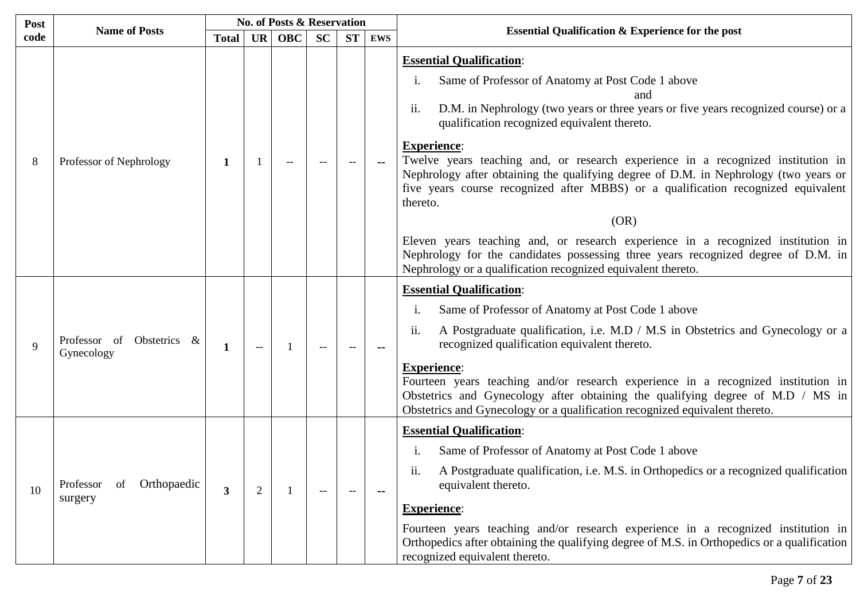| Post |                                           |                         |                | <b>No. of Posts &amp; Reservation</b> |           |           |                          |                                                                                                                                                                                                                                                                                                                                                                                                                                                                                                                                                                                                                                                                                                                                                                                                                |  |  |
|------|-------------------------------------------|-------------------------|----------------|---------------------------------------|-----------|-----------|--------------------------|----------------------------------------------------------------------------------------------------------------------------------------------------------------------------------------------------------------------------------------------------------------------------------------------------------------------------------------------------------------------------------------------------------------------------------------------------------------------------------------------------------------------------------------------------------------------------------------------------------------------------------------------------------------------------------------------------------------------------------------------------------------------------------------------------------------|--|--|
| code | <b>Name of Posts</b>                      | <b>Total</b>            | <b>UR</b>      | <b>OBC</b>                            | <b>SC</b> | <b>ST</b> | <b>EWS</b>               | <b>Essential Qualification &amp; Experience for the post</b>                                                                                                                                                                                                                                                                                                                                                                                                                                                                                                                                                                                                                                                                                                                                                   |  |  |
| 8    | Professor of Nephrology                   | 1                       |                |                                       |           |           |                          | <b>Essential Qualification:</b><br>Same of Professor of Anatomy at Post Code 1 above<br>$\mathbf{1}$ .<br>and<br>ii.<br>D.M. in Nephrology (two years or three years or five years recognized course) or a<br>qualification recognized equivalent thereto.<br><b>Experience:</b><br>Twelve years teaching and, or research experience in a recognized institution in<br>Nephrology after obtaining the qualifying degree of D.M. in Nephrology (two years or<br>five years course recognized after MBBS) or a qualification recognized equivalent<br>thereto.<br>(OR)<br>Eleven years teaching and, or research experience in a recognized institution in<br>Nephrology for the candidates possessing three years recognized degree of D.M. in<br>Nephrology or a qualification recognized equivalent thereto. |  |  |
| 9    | Professor of Obstetrics &<br>Gynecology   | 1                       | $-$            |                                       |           |           |                          | <b>Essential Qualification:</b><br>Same of Professor of Anatomy at Post Code 1 above<br>1.<br>ii.<br>A Postgraduate qualification, i.e. M.D / M.S in Obstetrics and Gynecology or a<br>recognized qualification equivalent thereto.<br><b>Experience:</b><br>Fourteen years teaching and/or research experience in a recognized institution in<br>Obstetrics and Gynecology after obtaining the qualifying degree of M.D / MS in<br>Obstetrics and Gynecology or a qualification recognized equivalent thereto.                                                                                                                                                                                                                                                                                                |  |  |
| 10   | Orthopaedic<br>Professor<br>of<br>surgery | $\overline{\mathbf{3}}$ | $\overline{2}$ |                                       |           | --        | $\overline{\phantom{a}}$ | <b>Essential Qualification:</b><br>Same of Professor of Anatomy at Post Code 1 above<br>1.<br>A Postgraduate qualification, i.e. M.S. in Orthopedics or a recognized qualification<br>equivalent thereto.<br><b>Experience:</b><br>Fourteen years teaching and/or research experience in a recognized institution in<br>Orthopedics after obtaining the qualifying degree of M.S. in Orthopedics or a qualification<br>recognized equivalent thereto.                                                                                                                                                                                                                                                                                                                                                          |  |  |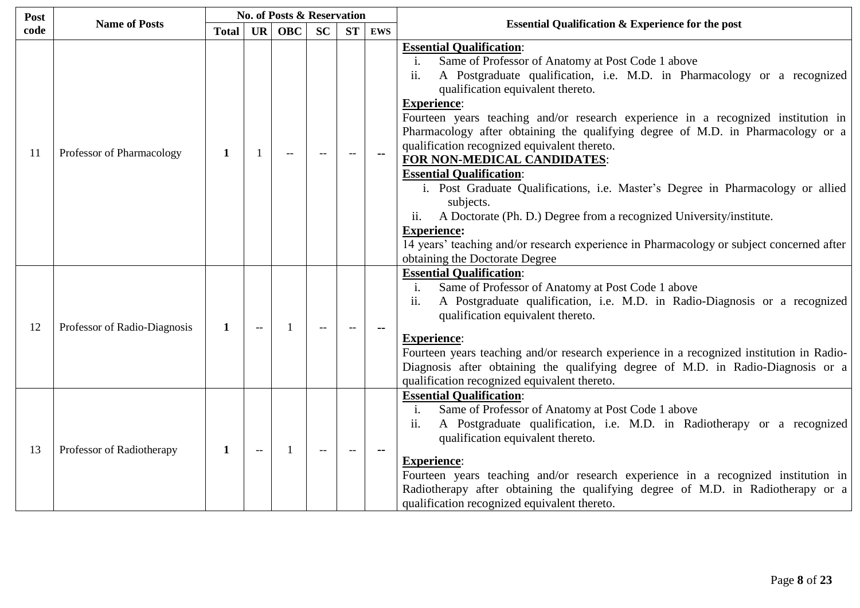| Post |                              |              |           | <b>No. of Posts &amp; Reservation</b> |           |           |               |                                                                                                                                                                                                                                                                                                                                                                                                                                                                                                                                                                                                                                                                                                                                                                                                                                                                                 |  |  |
|------|------------------------------|--------------|-----------|---------------------------------------|-----------|-----------|---------------|---------------------------------------------------------------------------------------------------------------------------------------------------------------------------------------------------------------------------------------------------------------------------------------------------------------------------------------------------------------------------------------------------------------------------------------------------------------------------------------------------------------------------------------------------------------------------------------------------------------------------------------------------------------------------------------------------------------------------------------------------------------------------------------------------------------------------------------------------------------------------------|--|--|
| code | <b>Name of Posts</b>         | <b>Total</b> | <b>UR</b> | <b>OBC</b>                            | <b>SC</b> | <b>ST</b> | <b>EWS</b>    | <b>Essential Qualification &amp; Experience for the post</b>                                                                                                                                                                                                                                                                                                                                                                                                                                                                                                                                                                                                                                                                                                                                                                                                                    |  |  |
| 11   | Professor of Pharmacology    | 1            |           |                                       |           |           | $\sim$ $\sim$ | <b>Essential Qualification:</b><br>Same of Professor of Anatomy at Post Code 1 above<br>$\mathbf{i}$ .<br>ii.<br>A Postgraduate qualification, i.e. M.D. in Pharmacology or a recognized<br>qualification equivalent thereto.<br><b>Experience:</b><br>Fourteen years teaching and/or research experience in a recognized institution in<br>Pharmacology after obtaining the qualifying degree of M.D. in Pharmacology or a<br>qualification recognized equivalent thereto.<br>FOR NON-MEDICAL CANDIDATES:<br><b>Essential Qualification:</b><br>i. Post Graduate Qualifications, i.e. Master's Degree in Pharmacology or allied<br>subjects.<br>A Doctorate (Ph. D.) Degree from a recognized University/institute.<br>ii.<br><b>Experience:</b><br>14 years' teaching and/or research experience in Pharmacology or subject concerned after<br>obtaining the Doctorate Degree |  |  |
| 12   | Professor of Radio-Diagnosis | 1            | $-$       |                                       |           |           |               | <b>Essential Qualification:</b><br>Same of Professor of Anatomy at Post Code 1 above<br>$\mathbf{i}$ .<br>A Postgraduate qualification, i.e. M.D. in Radio-Diagnosis or a recognized<br>ii.<br>qualification equivalent thereto.<br><b>Experience:</b><br>Fourteen years teaching and/or research experience in a recognized institution in Radio-<br>Diagnosis after obtaining the qualifying degree of M.D. in Radio-Diagnosis or a<br>qualification recognized equivalent thereto.                                                                                                                                                                                                                                                                                                                                                                                           |  |  |
| 13   | Professor of Radiotherapy    | 1            |           | $\mathbf{1}$                          |           |           |               | <b>Essential Qualification:</b><br>Same of Professor of Anatomy at Post Code 1 above<br>$\mathbf{i}$ .<br>ii.<br>A Postgraduate qualification, i.e. M.D. in Radiotherapy or a recognized<br>qualification equivalent thereto.<br><b>Experience:</b><br>Fourteen years teaching and/or research experience in a recognized institution in<br>Radiotherapy after obtaining the qualifying degree of M.D. in Radiotherapy or a<br>qualification recognized equivalent thereto.                                                                                                                                                                                                                                                                                                                                                                                                     |  |  |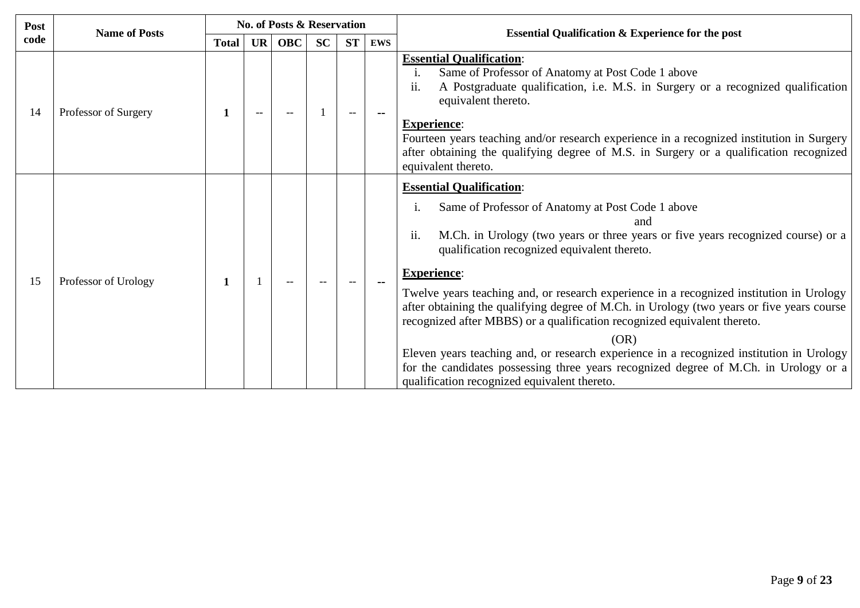| Post | <b>Name of Posts</b> |              |           | <b>No. of Posts &amp; Reservation</b> |    |           |               | <b>Essential Qualification &amp; Experience for the post</b>                                                                                                                                                                                                                                                                                                                                                                                                                                                                                                                                                                                                                                                                                                                        |  |  |
|------|----------------------|--------------|-----------|---------------------------------------|----|-----------|---------------|-------------------------------------------------------------------------------------------------------------------------------------------------------------------------------------------------------------------------------------------------------------------------------------------------------------------------------------------------------------------------------------------------------------------------------------------------------------------------------------------------------------------------------------------------------------------------------------------------------------------------------------------------------------------------------------------------------------------------------------------------------------------------------------|--|--|
| code |                      | <b>Total</b> | <b>UR</b> | <b>OBC</b>                            | SC | <b>ST</b> | <b>EWS</b>    |                                                                                                                                                                                                                                                                                                                                                                                                                                                                                                                                                                                                                                                                                                                                                                                     |  |  |
| 14   | Professor of Surgery | 1            |           |                                       |    | --        |               | <b>Essential Qualification:</b><br>Same of Professor of Anatomy at Post Code 1 above<br>$\mathbf{1}$ .<br>A Postgraduate qualification, i.e. M.S. in Surgery or a recognized qualification<br>11.<br>equivalent thereto.<br><b>Experience:</b><br>Fourteen years teaching and/or research experience in a recognized institution in Surgery<br>after obtaining the qualifying degree of M.S. in Surgery or a qualification recognized<br>equivalent thereto.                                                                                                                                                                                                                                                                                                                        |  |  |
| 15   | Professor of Urology | 1            |           |                                       |    |           | $\sim$ $\sim$ | <b>Essential Qualification:</b><br>Same of Professor of Anatomy at Post Code 1 above<br>1.<br>and<br>ii.<br>M.Ch. in Urology (two years or three years or five years recognized course) or a<br>qualification recognized equivalent thereto.<br><b>Experience:</b><br>Twelve years teaching and, or research experience in a recognized institution in Urology<br>after obtaining the qualifying degree of M.Ch. in Urology (two years or five years course<br>recognized after MBBS) or a qualification recognized equivalent thereto.<br>(OR)<br>Eleven years teaching and, or research experience in a recognized institution in Urology<br>for the candidates possessing three years recognized degree of M.Ch. in Urology or a<br>qualification recognized equivalent thereto. |  |  |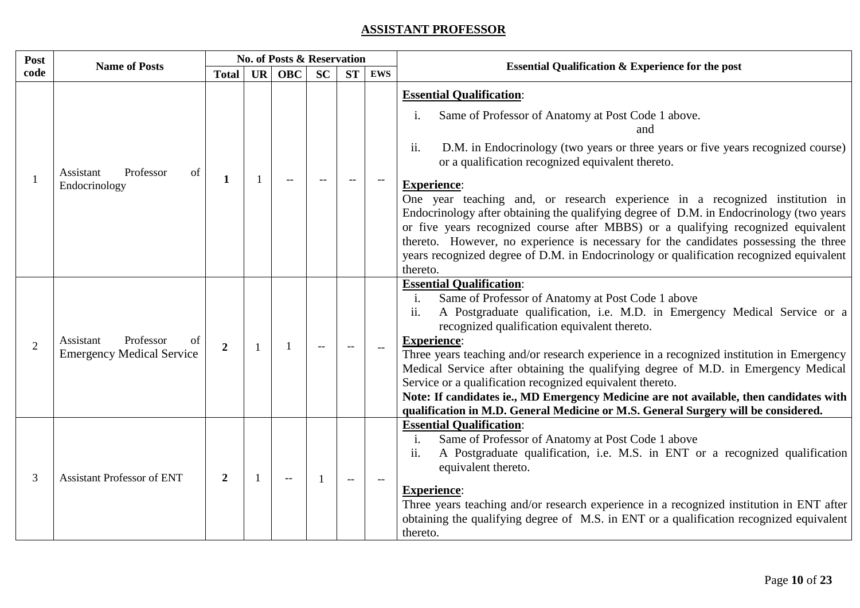# **ASSISTANT PROFESSOR**

| Post           | <b>Name of Posts</b>                                             |                |    | <b>No. of Posts &amp; Reservation</b> |           |           |            | <b>Essential Qualification &amp; Experience for the post</b>                                                                                                                                                                                                                                                                                                                                                                                                                                                                                                                                                                                                                                                                                        |  |  |
|----------------|------------------------------------------------------------------|----------------|----|---------------------------------------|-----------|-----------|------------|-----------------------------------------------------------------------------------------------------------------------------------------------------------------------------------------------------------------------------------------------------------------------------------------------------------------------------------------------------------------------------------------------------------------------------------------------------------------------------------------------------------------------------------------------------------------------------------------------------------------------------------------------------------------------------------------------------------------------------------------------------|--|--|
| code           |                                                                  | <b>Total</b>   | UR | <b>OBC</b>                            | <b>SC</b> | <b>ST</b> | <b>EWS</b> |                                                                                                                                                                                                                                                                                                                                                                                                                                                                                                                                                                                                                                                                                                                                                     |  |  |
|                | Professor<br>Assistant<br>of<br>Endocrinology                    | 1              |    |                                       |           |           |            | <b>Essential Qualification:</b><br>Same of Professor of Anatomy at Post Code 1 above.<br>$\mathbf{1}$ .<br>and<br>ii.<br>D.M. in Endocrinology (two years or three years or five years recognized course)<br>or a qualification recognized equivalent thereto.<br><b>Experience:</b><br>One year teaching and, or research experience in a recognized institution in<br>Endocrinology after obtaining the qualifying degree of D.M. in Endocrinology (two years<br>or five years recognized course after MBBS) or a qualifying recognized equivalent<br>thereto. However, no experience is necessary for the candidates possessing the three<br>years recognized degree of D.M. in Endocrinology or qualification recognized equivalent<br>thereto. |  |  |
| $\overline{2}$ | Professor<br>Assistant<br>of<br><b>Emergency Medical Service</b> | $\overline{2}$ |    | -1                                    |           |           |            | <b>Essential Qualification:</b><br>Same of Professor of Anatomy at Post Code 1 above<br>$\mathbf{i}$ .<br>ii.<br>A Postgraduate qualification, i.e. M.D. in Emergency Medical Service or a<br>recognized qualification equivalent thereto.<br><b>Experience:</b><br>Three years teaching and/or research experience in a recognized institution in Emergency<br>Medical Service after obtaining the qualifying degree of M.D. in Emergency Medical<br>Service or a qualification recognized equivalent thereto.<br>Note: If candidates ie., MD Emergency Medicine are not available, then candidates with<br>qualification in M.D. General Medicine or M.S. General Surgery will be considered.                                                     |  |  |
| 3              | <b>Assistant Professor of ENT</b>                                | $\overline{2}$ |    | $\overline{\phantom{m}}$              |           | $-$       |            | <b>Essential Qualification:</b><br>Same of Professor of Anatomy at Post Code 1 above<br>i.<br>A Postgraduate qualification, i.e. M.S. in ENT or a recognized qualification<br>11.<br>equivalent thereto.<br><b>Experience:</b><br>Three years teaching and/or research experience in a recognized institution in ENT after<br>obtaining the qualifying degree of M.S. in ENT or a qualification recognized equivalent<br>thereto.                                                                                                                                                                                                                                                                                                                   |  |  |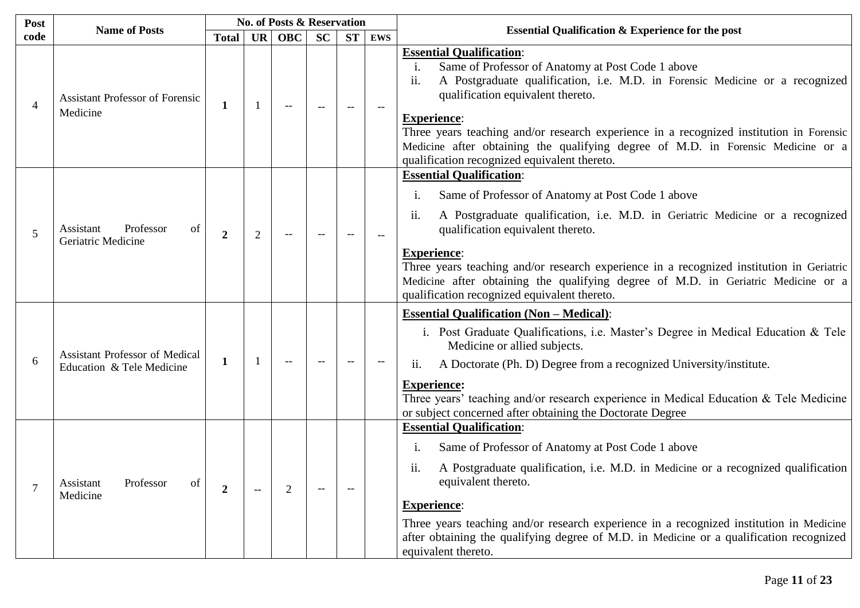| Post           | <b>Name of Posts</b>                                               |                  |                | <b>No. of Posts &amp; Reservation</b> |                                                     |           |            |                                                                                                                                                                                                                                                                                                                                                                                                                                                                                |
|----------------|--------------------------------------------------------------------|------------------|----------------|---------------------------------------|-----------------------------------------------------|-----------|------------|--------------------------------------------------------------------------------------------------------------------------------------------------------------------------------------------------------------------------------------------------------------------------------------------------------------------------------------------------------------------------------------------------------------------------------------------------------------------------------|
| code           |                                                                    | <b>Total</b>     | <b>UR</b>      | <b>OBC</b>                            | <b>SC</b>                                           | <b>ST</b> | <b>EWS</b> | <b>Essential Qualification &amp; Experience for the post</b>                                                                                                                                                                                                                                                                                                                                                                                                                   |
| $\overline{4}$ | <b>Assistant Professor of Forensic</b><br>Medicine                 | 1                |                | $-$                                   |                                                     |           |            | <b>Essential Qualification:</b><br>Same of Professor of Anatomy at Post Code 1 above<br>i.<br>ii.<br>A Postgraduate qualification, i.e. M.D. in Forensic Medicine or a recognized<br>qualification equivalent thereto.<br><b>Experience:</b><br>Three years teaching and/or research experience in a recognized institution in Forensic<br>Medicine after obtaining the qualifying degree of M.D. in Forensic Medicine or a<br>qualification recognized equivalent thereto.    |
| 5              | Professor<br>of<br>Assistant<br>Geriatric Medicine                 | $\boldsymbol{2}$ | $\overline{2}$ |                                       |                                                     |           |            | <b>Essential Qualification:</b><br>Same of Professor of Anatomy at Post Code 1 above<br>1.<br>ii.<br>A Postgraduate qualification, i.e. M.D. in Geriatric Medicine or a recognized<br>qualification equivalent thereto.<br><b>Experience:</b><br>Three years teaching and/or research experience in a recognized institution in Geriatric<br>Medicine after obtaining the qualifying degree of M.D. in Geriatric Medicine or a<br>qualification recognized equivalent thereto. |
| 6              | <b>Assistant Professor of Medical</b><br>Education & Tele Medicine | $\mathbf 1$      |                | $\overline{\phantom{a}}$              |                                                     | $-$       |            | <b>Essential Qualification (Non - Medical):</b><br>i. Post Graduate Qualifications, i.e. Master's Degree in Medical Education & Tele<br>Medicine or allied subjects.<br>A Doctorate (Ph. D) Degree from a recognized University/institute.<br>$\overline{11}$ .<br><b>Experience:</b><br>Three years' teaching and/or research experience in Medical Education & Tele Medicine<br>or subject concerned after obtaining the Doctorate Degree                                    |
| 7              | Professor<br>of<br>Assistant<br>Medicine                           | $\boldsymbol{2}$ |                | $\overline{2}$                        | $\hspace{0.05cm} -\hspace{0.05cm} -\hspace{0.05cm}$ | $-$       |            | <b>Essential Qualification:</b><br>Same of Professor of Anatomy at Post Code 1 above<br>1.<br>A Postgraduate qualification, i.e. M.D. in Medicine or a recognized qualification<br>$\overline{\mathbf{11}}$ .<br>equivalent thereto.<br><b>Experience:</b><br>Three years teaching and/or research experience in a recognized institution in Medicine<br>after obtaining the qualifying degree of M.D. in Medicine or a qualification recognized<br>equivalent thereto.        |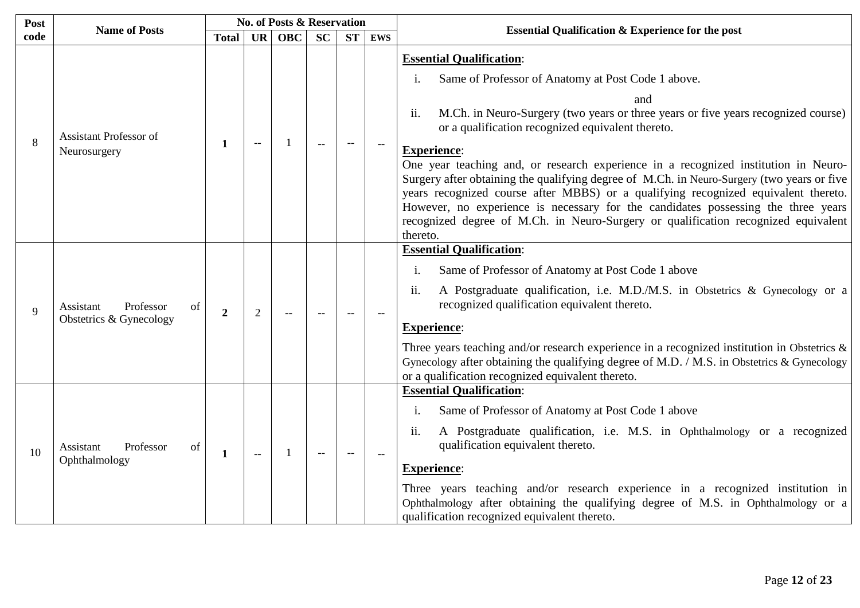| Post | <b>Name of Posts</b>                                    |                  |                | <b>No. of Posts &amp; Reservation</b> |           |           |            |                                                                                                                                                                                                                                                                                                                                                                                                                                                                                                                                                                                                                                                                                                                                       |
|------|---------------------------------------------------------|------------------|----------------|---------------------------------------|-----------|-----------|------------|---------------------------------------------------------------------------------------------------------------------------------------------------------------------------------------------------------------------------------------------------------------------------------------------------------------------------------------------------------------------------------------------------------------------------------------------------------------------------------------------------------------------------------------------------------------------------------------------------------------------------------------------------------------------------------------------------------------------------------------|
| code |                                                         | <b>Total</b>     | <b>UR</b>      | <b>OBC</b>                            | <b>SC</b> | <b>ST</b> | <b>EWS</b> | <b>Essential Qualification &amp; Experience for the post</b>                                                                                                                                                                                                                                                                                                                                                                                                                                                                                                                                                                                                                                                                          |
| 8    | Assistant Professor of<br>Neurosurgery                  | 1                | $-$            |                                       |           |           |            | <b>Essential Qualification:</b><br>Same of Professor of Anatomy at Post Code 1 above.<br>and<br>M.Ch. in Neuro-Surgery (two years or three years or five years recognized course)<br>ii.<br>or a qualification recognized equivalent thereto.<br><b>Experience:</b><br>One year teaching and, or research experience in a recognized institution in Neuro-<br>Surgery after obtaining the qualifying degree of M.Ch. in Neuro-Surgery (two years or five<br>years recognized course after MBBS) or a qualifying recognized equivalent thereto.<br>However, no experience is necessary for the candidates possessing the three years<br>recognized degree of M.Ch. in Neuro-Surgery or qualification recognized equivalent<br>thereto. |
| 9    | Professor<br>Assistant<br>of<br>Obstetrics & Gynecology | $\boldsymbol{2}$ | $\overline{2}$ |                                       |           |           |            | <b>Essential Qualification:</b><br>Same of Professor of Anatomy at Post Code 1 above<br>A Postgraduate qualification, i.e. M.D./M.S. in Obstetrics & Gynecology or a<br>$\overline{11}$ .<br>recognized qualification equivalent thereto.<br><b>Experience:</b><br>Three years teaching and/or research experience in a recognized institution in Obstetrics $\&$<br>Gynecology after obtaining the qualifying degree of M.D. / M.S. in Obstetrics & Gynecology<br>or a qualification recognized equivalent thereto.                                                                                                                                                                                                                  |
| 10   | Professor<br>Assistant<br>of<br>Ophthalmology           | $\mathbf{1}$     | $\mathbf{u}$   | -1                                    |           |           | $\sim$     | <b>Essential Qualification:</b><br>Same of Professor of Anatomy at Post Code 1 above<br>1.<br>A Postgraduate qualification, i.e. M.S. in Ophthalmology or a recognized<br>11.<br>qualification equivalent thereto.<br><b>Experience:</b><br>Three years teaching and/or research experience in a recognized institution in<br>Ophthalmology after obtaining the qualifying degree of M.S. in Ophthalmology or a<br>qualification recognized equivalent thereto.                                                                                                                                                                                                                                                                       |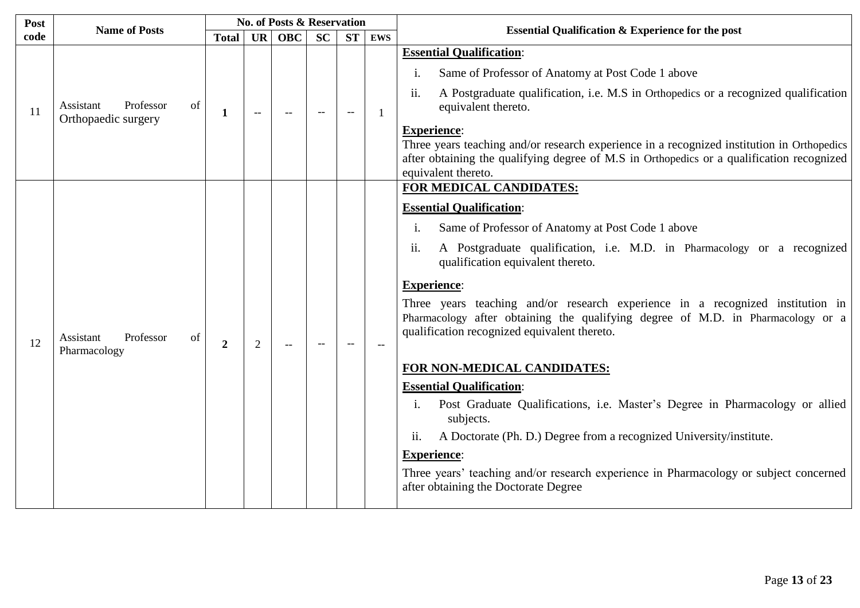| Post          | <b>Name of Posts</b>                         |                  |                          | <b>No. of Posts &amp; Reservation</b> |           |           |            | <b>Essential Qualification &amp; Experience for the post</b>                                                                                                                                                                                                                                                                                                                                                                                                                                                                                                                                                                                                                                                                                                                                                                                                                                                  |  |
|---------------|----------------------------------------------|------------------|--------------------------|---------------------------------------|-----------|-----------|------------|---------------------------------------------------------------------------------------------------------------------------------------------------------------------------------------------------------------------------------------------------------------------------------------------------------------------------------------------------------------------------------------------------------------------------------------------------------------------------------------------------------------------------------------------------------------------------------------------------------------------------------------------------------------------------------------------------------------------------------------------------------------------------------------------------------------------------------------------------------------------------------------------------------------|--|
| code          |                                              | <b>Total</b>     | <b>UR</b>                | <b>OBC</b>                            | <b>SC</b> | <b>ST</b> | <b>EWS</b> |                                                                                                                                                                                                                                                                                                                                                                                                                                                                                                                                                                                                                                                                                                                                                                                                                                                                                                               |  |
| <sup>11</sup> | Professor<br>Assistant<br>of                 | 1                | $\overline{\phantom{m}}$ | $-$                                   |           | $-$       |            | <b>Essential Qualification:</b><br>Same of Professor of Anatomy at Post Code 1 above<br>i.<br>ii.<br>A Postgraduate qualification, i.e. M.S in Orthopedics or a recognized qualification<br>equivalent thereto.                                                                                                                                                                                                                                                                                                                                                                                                                                                                                                                                                                                                                                                                                               |  |
|               | Orthopaedic surgery                          |                  |                          |                                       |           |           |            | <b>Experience:</b><br>Three years teaching and/or research experience in a recognized institution in Orthopedics<br>after obtaining the qualifying degree of M.S in Orthopedics or a qualification recognized<br>equivalent thereto.                                                                                                                                                                                                                                                                                                                                                                                                                                                                                                                                                                                                                                                                          |  |
| 12            | Professor<br>of<br>Assistant<br>Pharmacology | $\boldsymbol{2}$ | $\overline{2}$           | $-$                                   |           |           |            | FOR MEDICAL CANDIDATES:<br><b>Essential Qualification:</b><br>Same of Professor of Anatomy at Post Code 1 above<br>$\mathbf{1}$ .<br>A Postgraduate qualification, i.e. M.D. in Pharmacology or a recognized<br>ii.<br>qualification equivalent thereto.<br><b>Experience:</b><br>Three years teaching and/or research experience in a recognized institution in<br>Pharmacology after obtaining the qualifying degree of M.D. in Pharmacology or a<br>qualification recognized equivalent thereto.<br>FOR NON-MEDICAL CANDIDATES:<br><b>Essential Qualification:</b><br>Post Graduate Qualifications, i.e. Master's Degree in Pharmacology or allied<br>1.<br>subjects.<br>A Doctorate (Ph. D.) Degree from a recognized University/institute.<br>11.<br><b>Experience:</b><br>Three years' teaching and/or research experience in Pharmacology or subject concerned<br>after obtaining the Doctorate Degree |  |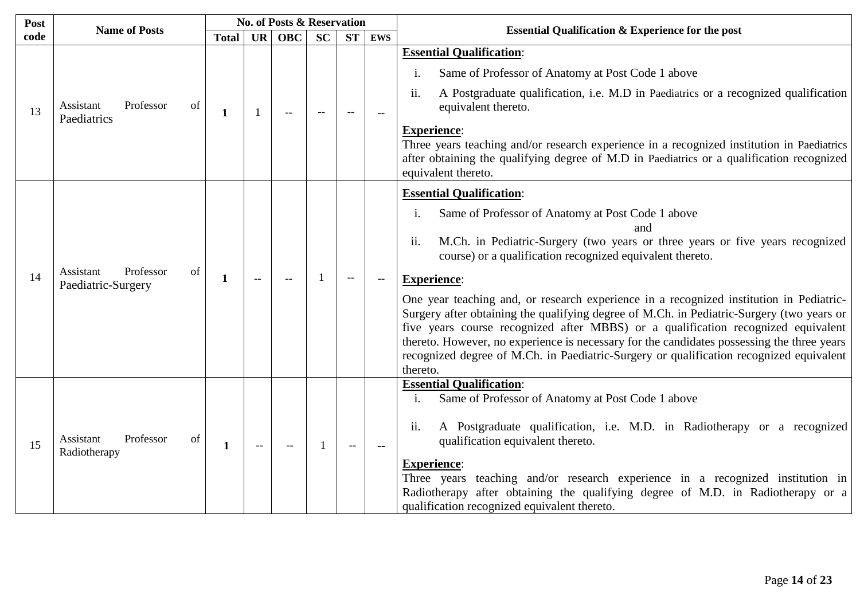| Post |                                             |                                                                                                                                                                                                                                                                                                                              |                                                                                                            |            |           |           |            |                                                                                                                                                                                                                                                                                                                                                                                                                                                                                                                                                                                                                                                                                                                                                   |
|------|---------------------------------------------|------------------------------------------------------------------------------------------------------------------------------------------------------------------------------------------------------------------------------------------------------------------------------------------------------------------------------|------------------------------------------------------------------------------------------------------------|------------|-----------|-----------|------------|---------------------------------------------------------------------------------------------------------------------------------------------------------------------------------------------------------------------------------------------------------------------------------------------------------------------------------------------------------------------------------------------------------------------------------------------------------------------------------------------------------------------------------------------------------------------------------------------------------------------------------------------------------------------------------------------------------------------------------------------------|
| code |                                             | <b>Total</b>                                                                                                                                                                                                                                                                                                                 | <b>UR</b>                                                                                                  | <b>OBC</b> | <b>SC</b> | <b>ST</b> | <b>EWS</b> | <b>Essential Qualification &amp; Experience for the post</b>                                                                                                                                                                                                                                                                                                                                                                                                                                                                                                                                                                                                                                                                                      |
|      |                                             |                                                                                                                                                                                                                                                                                                                              |                                                                                                            |            |           |           |            | <b>Essential Qualification:</b>                                                                                                                                                                                                                                                                                                                                                                                                                                                                                                                                                                                                                                                                                                                   |
|      |                                             |                                                                                                                                                                                                                                                                                                                              |                                                                                                            |            |           |           |            | Same of Professor of Anatomy at Post Code 1 above<br>1.                                                                                                                                                                                                                                                                                                                                                                                                                                                                                                                                                                                                                                                                                           |
| 13   | Professor<br>Assistant<br>of<br>Paediatrics | No. of Posts & Reservation<br><b>Name of Posts</b><br>$\overline{11}$ .<br>$\mathbf 1$<br>$-$<br>$-$<br>1.<br>ii.<br>Professor<br>of<br>1<br>$\overline{\phantom{a}}$<br>$\overline{a}$<br>$\mathbf{i}$ .<br>$\overline{11}$ .<br>Professor<br>of<br>1<br>$-$<br>$-$<br>$\overline{\phantom{a}}$<br>$\overline{\phantom{a}}$ | A Postgraduate qualification, i.e. M.D in Paediatrics or a recognized qualification<br>equivalent thereto. |            |           |           |            |                                                                                                                                                                                                                                                                                                                                                                                                                                                                                                                                                                                                                                                                                                                                                   |
|      |                                             |                                                                                                                                                                                                                                                                                                                              |                                                                                                            |            |           |           |            | <b>Experience:</b><br>Three years teaching and/or research experience in a recognized institution in Paediatrics<br>after obtaining the qualifying degree of M.D in Paediatrics or a qualification recognized<br>equivalent thereto.                                                                                                                                                                                                                                                                                                                                                                                                                                                                                                              |
| 14   | Assistant<br>Paediatric-Surgery             |                                                                                                                                                                                                                                                                                                                              |                                                                                                            |            |           |           |            | <b>Essential Qualification:</b><br>Same of Professor of Anatomy at Post Code 1 above<br>and<br>M.Ch. in Pediatric-Surgery (two years or three years or five years recognized<br>course) or a qualification recognized equivalent thereto.<br><b>Experience:</b><br>One year teaching and, or research experience in a recognized institution in Pediatric-<br>Surgery after obtaining the qualifying degree of M.Ch. in Pediatric-Surgery (two years or<br>five years course recognized after MBBS) or a qualification recognized equivalent<br>thereto. However, no experience is necessary for the candidates possessing the three years<br>recognized degree of M.Ch. in Paediatric-Surgery or qualification recognized equivalent<br>thereto. |
| 15   | Assistant<br>Radiotherapy                   |                                                                                                                                                                                                                                                                                                                              |                                                                                                            |            |           |           |            | <b>Essential Qualification:</b><br>Same of Professor of Anatomy at Post Code 1 above<br>A Postgraduate qualification, i.e. M.D. in Radiotherapy or a recognized<br>qualification equivalent thereto.<br><b>Experience:</b><br>Three years teaching and/or research experience in a recognized institution in<br>Radiotherapy after obtaining the qualifying degree of M.D. in Radiotherapy or a<br>qualification recognized equivalent thereto.                                                                                                                                                                                                                                                                                                   |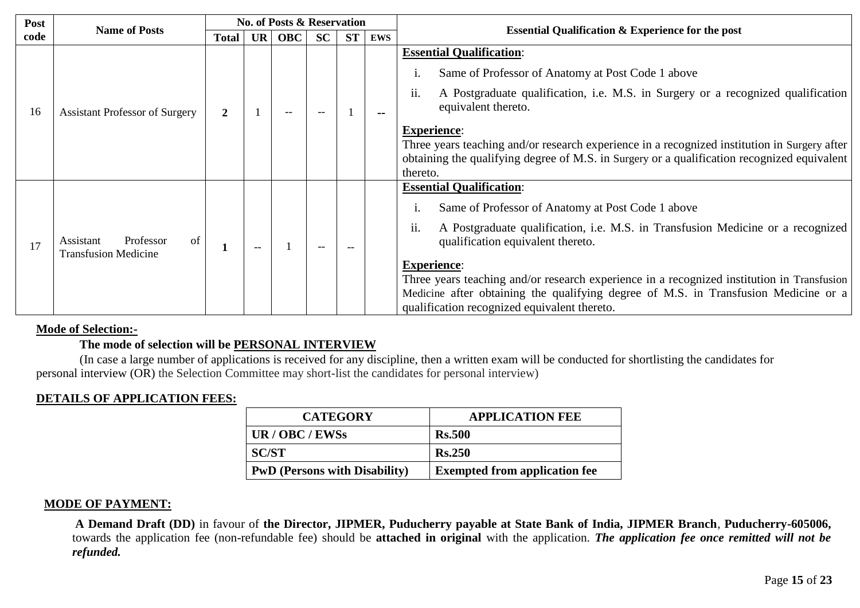| Post | <b>Name of Posts</b>                                        |              |           | <b>No. of Posts &amp; Reservation</b> |           |           |               | <b>Essential Qualification &amp; Experience for the post</b>                                                                                                                                                                                                                                                                                                                                                                                                                   |
|------|-------------------------------------------------------------|--------------|-----------|---------------------------------------|-----------|-----------|---------------|--------------------------------------------------------------------------------------------------------------------------------------------------------------------------------------------------------------------------------------------------------------------------------------------------------------------------------------------------------------------------------------------------------------------------------------------------------------------------------|
| code |                                                             | <b>Total</b> | <b>UR</b> | <b>OBC</b>                            | <b>SC</b> | <b>ST</b> | <b>EWS</b>    |                                                                                                                                                                                                                                                                                                                                                                                                                                                                                |
| 16   | <b>Assistant Professor of Surgery</b>                       | 2            |           | $- -$                                 |           |           | $\sim$ $\sim$ | <b>Essential Qualification:</b><br>Same of Professor of Anatomy at Post Code 1 above<br>A Postgraduate qualification, i.e. M.S. in Surgery or a recognized qualification<br>11.<br>equivalent thereto.<br><b>Experience:</b><br>Three years teaching and/or research experience in a recognized institution in Surgery after<br>obtaining the qualifying degree of M.S. in Surgery or a qualification recognized equivalent<br>thereto.                                        |
| 17   | of<br>Professor<br>Assistant<br><b>Transfusion Medicine</b> | 1            |           |                                       | $-$       |           |               | <b>Essential Qualification:</b><br>Same of Professor of Anatomy at Post Code 1 above<br>ii.<br>A Postgraduate qualification, i.e. M.S. in Transfusion Medicine or a recognized<br>qualification equivalent thereto.<br><b>Experience:</b><br>Three years teaching and/or research experience in a recognized institution in Transfusion<br>Medicine after obtaining the qualifying degree of M.S. in Transfusion Medicine or a<br>qualification recognized equivalent thereto. |

### **Mode of Selection:-**

## **The mode of selection will be PERSONAL INTERVIEW**

(In case a large number of applications is received for any discipline, then a written exam will be conducted for shortlisting the candidates for personal interview (OR) the Selection Committee may short-list the candidates for personal interview)

## **DETAILS OF APPLICATION FEES:**

| <b>CATEGORY</b>                      | <b>APPLICATION FEE</b>               |
|--------------------------------------|--------------------------------------|
| UR / OBC / EWSs                      | <b>Rs.500</b>                        |
| <b>SC/ST</b>                         | <b>Rs.250</b>                        |
| <b>PwD</b> (Persons with Disability) | <b>Exempted from application fee</b> |

### **MODE OF PAYMENT:**

 **A Demand Draft (DD)** in favour of **the Director, JIPMER, Puducherry payable at State Bank of India, JIPMER Branch**, **Puducherry-605006,** towards the application fee (non-refundable fee) should be **attached in original** with the application. *The application fee once remitted will not be refunded.*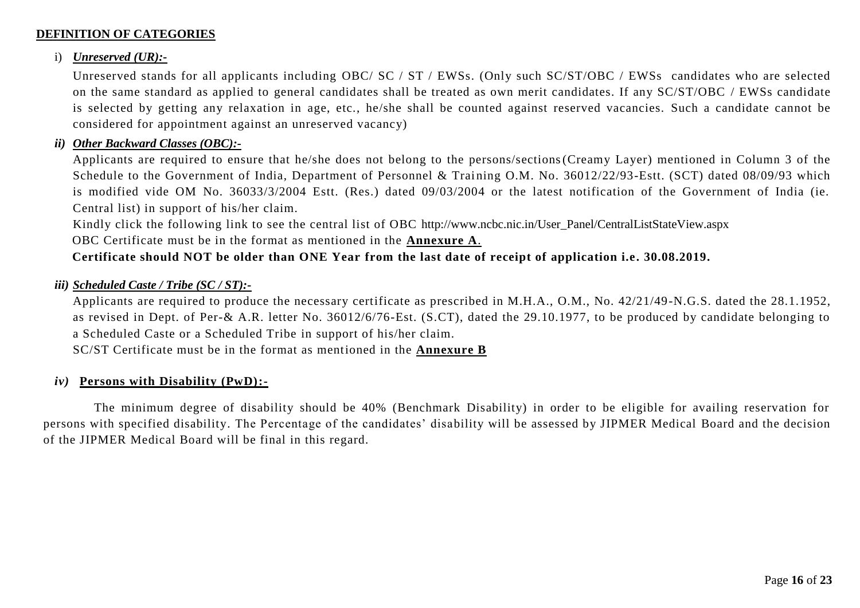## **DEFINITION OF CATEGORIES**

### i) *Unreserved (UR):-*

Unreserved stands for all applicants including OBC/ SC / ST / EWSs. (Only such SC/ST/OBC / EWSs candidates who are selected on the same standard as applied to general candidates shall be treated as own merit candidates. If any SC/ST/OBC / EWSs candidate is selected by getting any relaxation in age, etc., he/she shall be counted against reserved vacancies. Such a candidate cannot be considered for appointment against an unreserved vacancy)

### *ii) Other Backward Classes (OBC):-*

Applicants are required to ensure that he/she does not belong to the persons/sections(Creamy Layer) mentioned in Column 3 of the Schedule to the Government of India, Department of Personnel & Training O.M. No. 36012/22/93-Estt. (SCT) dated 08/09/93 which is modified vide OM No. 36033/3/2004 Estt. (Res.) dated 09/03/2004 or the latest notification of the Government of India (ie. Central list) in support of his/her claim.

Kindly click the following link to see the central list of OBC [http://www.ncbc.nic.in/User\\_Panel/CentralListStateView.aspx](http://www.ncbc.nic.in/User_Panel/CentralListStateView.aspx)

OBC Certificate must be in the format as mentioned in the **Annexure A**.

## **Certificate should NOT be older than ONE Year from the last date of receipt of application i.e. 30.08.2019.**

## *iii) Scheduled Caste / Tribe (SC / ST):-*

Applicants are required to produce the necessary certificate as prescribed in M.H.A., O.M., No. 42/21/49-N.G.S. dated the 28.1.1952, as revised in Dept. of Per-& A.R. letter No. 36012/6/76-Est. (S.CT), dated the 29.10.1977, to be produced by candidate belonging to a Scheduled Caste or a Scheduled Tribe in support of his/her claim.

SC/ST Certificate must be in the format as mentioned in the **Annexure B**

### *iv)* **Persons with Disability (PwD):-**

The minimum degree of disability should be 40% (Benchmark Disability) in order to be eligible for availing reservation for persons with specified disability. The Percentage of the candidates' disability will be assessed by JIPMER Medical Board and the decision of the JIPMER Medical Board will be final in this regard.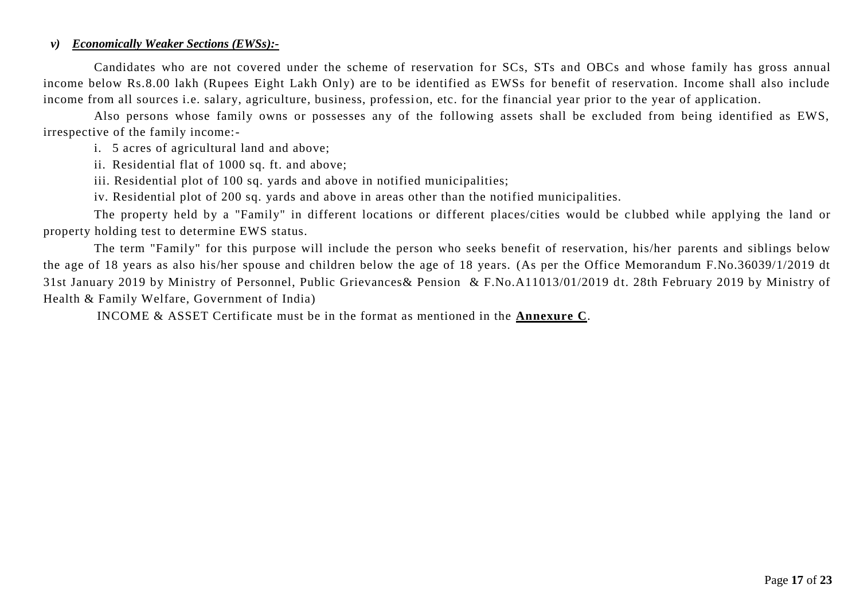#### *v) Economically Weaker Sections (EWSs):-*

Candidates who are not covered under the scheme of reservation for SCs, STs and OBCs and whose family has gross annual income below Rs.8.00 lakh (Rupees Eight Lakh Only) are to be identified as EWSs for benefit of reservation. Income shall also include income from all sources i.e. salary, agriculture, business, profession, etc. for the financial year prior to the year of application.

Also persons whose family owns or possesses any of the following assets shall be excluded from being identified as EWS, irrespective of the family income:-

i. 5 acres of agricultural land and above;

ii. Residential flat of 1000 sq. ft. and above;

iii. Residential plot of 100 sq. yards and above in notified municipalities;

iv. Residential plot of 200 sq. yards and above in areas other than the notified municipalities.

The property held by a "Family" in different locations or different places/cities would be clubbed while applying the land or property holding test to determine EWS status.

The term "Family" for this purpose will include the person who seeks benefit of reservation, his/her parents and siblings below the age of 18 years as also his/her spouse and children below the age of 18 years. (As per the Office Memorandum F.No.36039/1/2019 dt 31st January 2019 by Ministry of Personnel, Public Grievances & Pension & F.No.A11013/01/2019 dt. 28th February 2019 by Ministry of Health & Family Welfare, Government of India)

INCOME & ASSET Certificate must be in the format as mentioned in the **Annexure C**.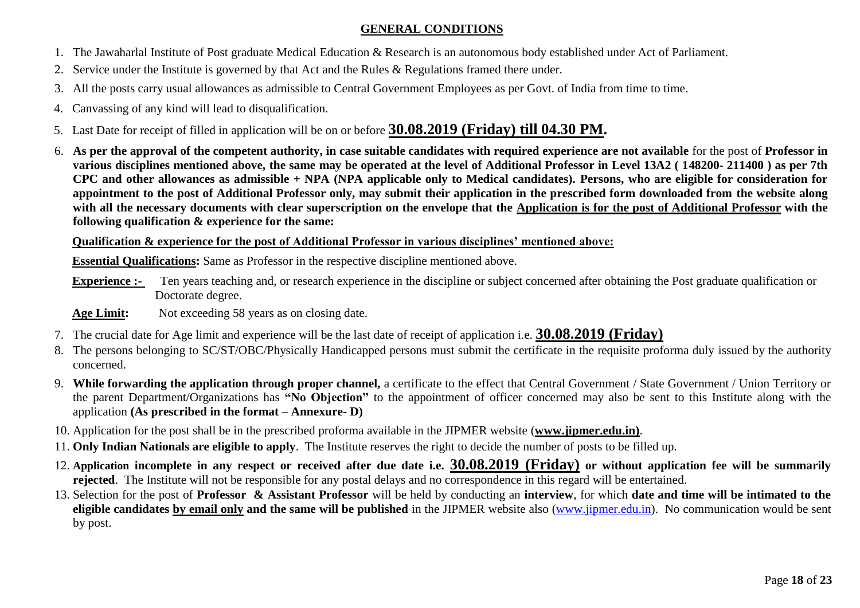## **GENERAL CONDITIONS**

- 1. The Jawaharlal Institute of Post graduate Medical Education & Research is an autonomous body established under Act of Parliament.
- 2. Service under the Institute is governed by that Act and the Rules & Regulations framed there under.
- 3. All the posts carry usual allowances as admissible to Central Government Employees as per Govt. of India from time to time.
- 4. Canvassing of any kind will lead to disqualification.
- 5. Last Date for receipt of filled in application will be on or before **30.08.2019 (Friday) till 04.30 PM.**
- 6. **As per the approval of the competent authority, in case suitable candidates with required experience are not available** for the post of **Professor in various disciplines mentioned above, the same may be operated at the level of Additional Professor in Level 13A2 ( 148200- 211400 ) as per 7th CPC and other allowances as admissible + NPA (NPA applicable only to Medical candidates). Persons, who are eligible for consideration for appointment to the post of Additional Professor only, may submit their application in the prescribed form downloaded from the website along with all the necessary documents with clear superscription on the envelope that the Application is for the post of Additional Professor with the following qualification & experience for the same:**

**Qualification & experience for the post of Additional Professor in various disciplines' mentioned above:**

**Essential Qualifications:** Same as Professor in the respective discipline mentioned above.

- **Experience :-** Ten years teaching and, or research experience in the discipline or subject concerned after obtaining the Post graduate qualification or Doctorate degree.
- Age Limit: Not exceeding 58 years as on closing date.
- 7. The crucial date for Age limit and experience will be the last date of receipt of application i.e. **30.08.2019 (Friday)**
- 8. The persons belonging to SC/ST/OBC/Physically Handicapped persons must submit the certificate in the requisite proforma duly issued by the authority concerned.
- 9. **While forwarding the application through proper channel,** a certificate to the effect that Central Government / State Government / Union Territory or the parent Department/Organizations has **"No Objection"** to the appointment of officer concerned may also be sent to this Institute along with the application **(As prescribed in the format – Annexure- D)**
- 10. Application for the post shall be in the prescribed proforma available in the JIPMER website (**www.jipmer.edu.in)**.
- 11. **Only Indian Nationals are eligible to apply**. The Institute reserves the right to decide the number of posts to be filled up.
- 12. **Application incomplete in any respect or received after due date i.e. 30.08.2019 (Friday) or without application fee will be summarily rejected**. The Institute will not be responsible for any postal delays and no correspondence in this regard will be entertained.
- 13. Selection for the post of **Professor & Assistant Professor** will be held by conducting an **interview**, for which **date and time will be intimated to the eligible candidates by email only and the same will be published** in the JIPMER website also (www.jipmer.edu.in). No communication would be sent by post.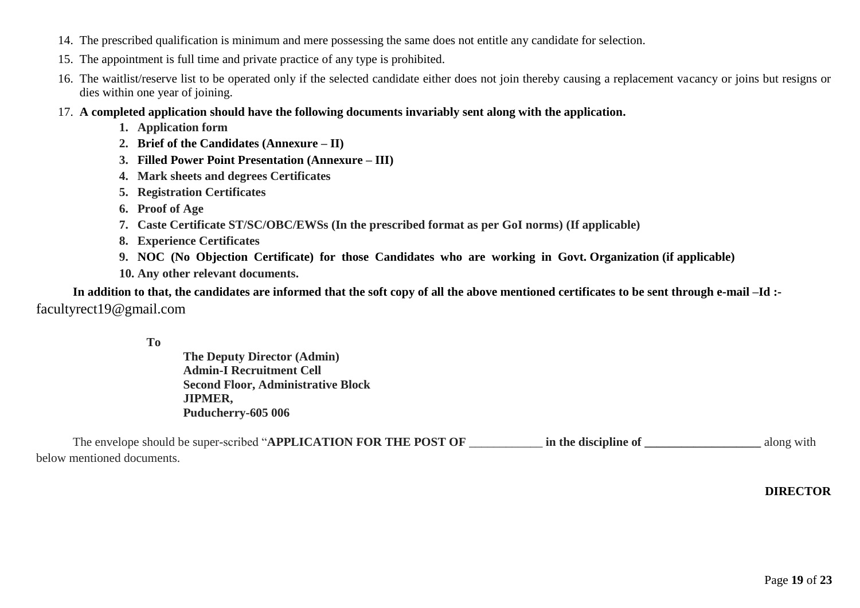- 14. The prescribed qualification is minimum and mere possessing the same does not entitle any candidate for selection.
- 15. The appointment is full time and private practice of any type is prohibited.
- 16. The waitlist/reserve list to be operated only if the selected candidate either does not join thereby causing a replacement vacancy or joins but resigns or dies within one year of joining.
- 17. **A completed application should have the following documents invariably sent along with the application.**
	- **1. Application form**
	- **2. Brief of the Candidates (Annexure – II)**
	- **3. Filled Power Point Presentation (Annexure – III)**
	- **4. Mark sheets and degrees Certificates**
	- **5. Registration Certificates**
	- **6. Proof of Age**
	- **7. Caste Certificate ST/SC/OBC/EWSs (In the prescribed format as per GoI norms) (If applicable)**
	- **8. Experience Certificates**
	- **9. NOC (No Objection Certificate) for those Candidates who are working in Govt. Organization (if applicable)**
	- **10. Any other relevant documents.**

**In addition to that, the candidates are informed that the soft copy of all the above mentioned certificates to be sent through e-mail –Id :** facultyrect19@gmail.com

**The Deputy Director (Admin) Admin-I Recruitment Cell Second Floor, Administrative Block JIPMER, Puducherry-605 006**

| The envelope should be super-scribed "APPLICATION FOR THE POST OF | in the discipline of | along with |
|-------------------------------------------------------------------|----------------------|------------|
| below mentioned documents.                                        |                      |            |

## **DIRECTOR**

**To**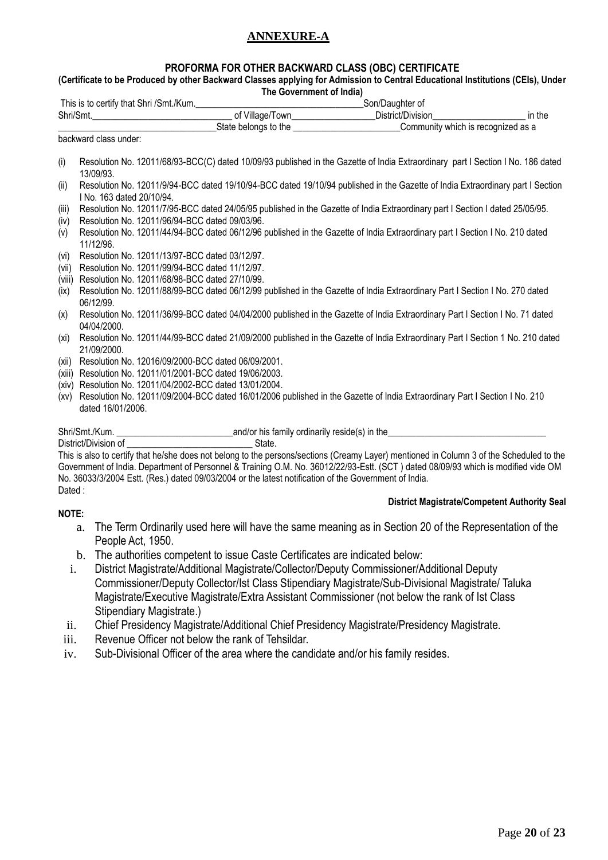## **ANNEXURE-A**

#### **PROFORMA FOR OTHER BACKWARD CLASS (OBC) CERTIFICATE**

#### **(Certificate to be Produced by other Backward Classes applying for Admission to Central Educational Institutions (CEIs), Under The Government of India)**

|                 | This is to certify that Shri /Smt./Kum.                                                          | Son/Daughter of                                                                                                                 |        |
|-----------------|--------------------------------------------------------------------------------------------------|---------------------------------------------------------------------------------------------------------------------------------|--------|
|                 |                                                                                                  | District/Division________________________                                                                                       | in the |
|                 |                                                                                                  | State belongs to the <u>contract and community</u> which is recognized as a                                                     |        |
|                 | backward class under:                                                                            |                                                                                                                                 |        |
| (i)             | 13/09/93.                                                                                        | Resolution No. 12011/68/93-BCC(C) dated 10/09/93 published in the Gazette of India Extraordinary part I Section I No. 186 dated |        |
| (ii)            | I No. 163 dated 20/10/94.                                                                        | Resolution No. 12011/9/94-BCC dated 19/10/94-BCC dated 19/10/94 published in the Gazette of India Extraordinary part I Section  |        |
| (iii)<br>(iv)   | Resolution No. 12011/96/94-BCC dated 09/03/96.                                                   | Resolution No. 12011/7/95-BCC dated 24/05/95 published in the Gazette of India Extraordinary part I Section I dated 25/05/95.   |        |
| (v)             | 11/12/96.                                                                                        | Resolution No. 12011/44/94-BCC dated 06/12/96 published in the Gazette of India Extraordinary part I Section I No. 210 dated    |        |
| (vi)            | Resolution No. 12011/13/97-BCC dated 03/12/97.                                                   |                                                                                                                                 |        |
| (vii)<br>(viii) | Resolution No. 12011/99/94-BCC dated 11/12/97.<br>Resolution No. 12011/68/98-BCC dated 27/10/99. |                                                                                                                                 |        |
| (ix)            | 06/12/99.                                                                                        | Resolution No. 12011/88/99-BCC dated 06/12/99 published in the Gazette of India Extraordinary Part I Section I No. 270 dated    |        |
| (x)             | 04/04/2000.                                                                                      | Resolution No. 12011/36/99-BCC dated 04/04/2000 published in the Gazette of India Extraordinary Part I Section I No. 71 dated   |        |
| (xi)            | 21/09/2000.                                                                                      | Resolution No. 12011/44/99-BCC dated 21/09/2000 published in the Gazette of India Extraordinary Part I Section 1 No. 210 dated  |        |
| (xii)           | Resolution No. 12016/09/2000-BCC dated 06/09/2001.                                               |                                                                                                                                 |        |

- 
- (xiii) Resolution No. 12011/01/2001-BCC dated 19/06/2003.
- (xiv) Resolution No. 12011/04/2002-BCC dated 13/01/2004.
- (xv) Resolution No. 12011/09/2004-BCC dated 16/01/2006 published in the Gazette of India Extraordinary Part I Section I No. 210 dated 16/01/2006.

Shri/Smt./Kum. \_\_\_\_\_\_\_\_\_\_\_\_\_\_\_\_\_\_\_\_\_\_\_\_\_and/or his family ordinarily reside(s) in the\_\_\_\_\_\_\_\_\_\_\_\_\_\_\_\_\_\_\_\_\_\_\_\_\_\_\_\_\_\_\_\_\_\_

District/Division of **Executive State.** 

This is also to certify that he/she does not belong to the persons/sections (Creamy Layer) mentioned in Column 3 of the Scheduled to the Government of India. Department of Personnel & Training O.M. No. 36012/22/93-Estt. (SCT ) dated 08/09/93 which is modified vide OM No. 36033/3/2004 Estt. (Res.) dated 09/03/2004 or the latest notification of the Government of India. Dated :

#### **NOTE:**

#### **District Magistrate/Competent Authority Seal**

- a. The Term Ordinarily used here will have the same meaning as in Section 20 of the Representation of the People Act, 1950.
- b. The authorities competent to issue Caste Certificates are indicated below:
- i. District Magistrate/Additional Magistrate/Collector/Deputy Commissioner/Additional Deputy Commissioner/Deputy Collector/Ist Class Stipendiary Magistrate/Sub-Divisional Magistrate/ Taluka Magistrate/Executive Magistrate/Extra Assistant Commissioner (not below the rank of Ist Class Stipendiary Magistrate.)
- ii. Chief Presidency Magistrate/Additional Chief Presidency Magistrate/Presidency Magistrate.
- iii. Revenue Officer not below the rank of Tehsildar.
- iv. Sub-Divisional Officer of the area where the candidate and/or his family resides.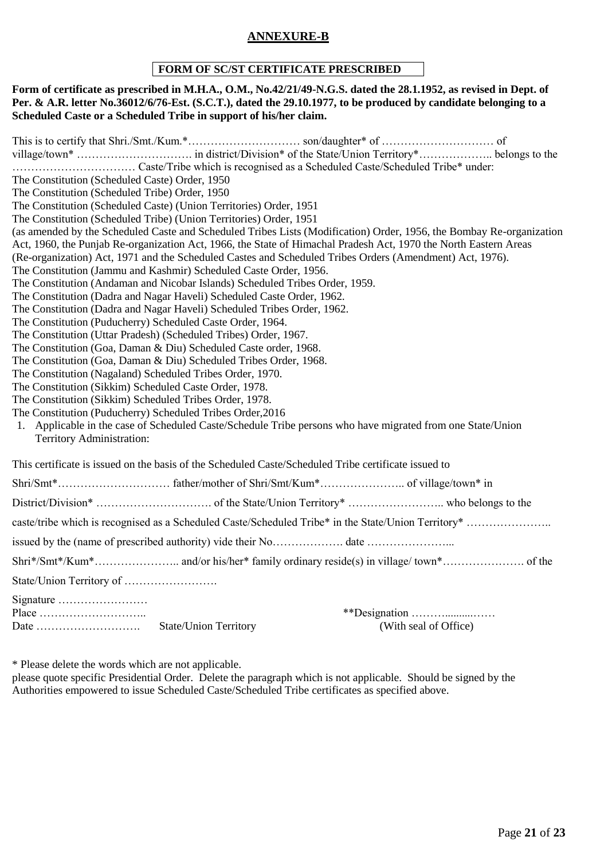## **ANNEXURE-B**

## **FORM OF SC/ST CERTIFICATE PRESCRIBED**

#### **Form of certificate as prescribed in M.H.A., O.M., No.42/21/49-N.G.S. dated the 28.1.1952, as revised in Dept. of Per. & A.R. letter No.36012/6/76-Est. (S.C.T.), dated the 29.10.1977, to be produced by candidate belonging to a Scheduled Caste or a Scheduled Tribe in support of his/her claim.**

This is to certify that Shri./Smt./Kum.\*………………………… son/daughter\* of ………………………… of village/town\* …………………………. in district/Division\* of the State/Union Territory\*……………….. belongs to the …………………………… Caste/Tribe which is recognised as a Scheduled Caste/Scheduled Tribe\* under: The Constitution (Scheduled Caste) Order, 1950 The Constitution (Scheduled Tribe) Order, 1950 The Constitution (Scheduled Caste) (Union Territories) Order, 1951 The Constitution (Scheduled Tribe) (Union Territories) Order, 1951 (as amended by the Scheduled Caste and Scheduled Tribes Lists (Modification) Order, 1956, the Bombay Re-organization Act, 1960, the Punjab Re-organization Act, 1966, the State of Himachal Pradesh Act, 1970 the North Eastern Areas (Re-organization) Act, 1971 and the Scheduled Castes and Scheduled Tribes Orders (Amendment) Act, 1976). The Constitution (Jammu and Kashmir) Scheduled Caste Order, 1956. The Constitution (Andaman and Nicobar Islands) Scheduled Tribes Order, 1959. The Constitution (Dadra and Nagar Haveli) Scheduled Caste Order, 1962. The Constitution (Dadra and Nagar Haveli) Scheduled Tribes Order, 1962. The Constitution (Puducherry) Scheduled Caste Order, 1964. The Constitution (Uttar Pradesh) (Scheduled Tribes) Order, 1967. The Constitution (Goa, Daman & Diu) Scheduled Caste order, 1968. The Constitution (Goa, Daman & Diu) Scheduled Tribes Order, 1968. The Constitution (Nagaland) Scheduled Tribes Order, 1970. The Constitution (Sikkim) Scheduled Caste Order, 1978. The Constitution (Sikkim) Scheduled Tribes Order, 1978. The Constitution (Puducherry) Scheduled Tribes Order,2016 1. Applicable in the case of Scheduled Caste/Schedule Tribe persons who have migrated from one State/Union Territory Administration: This certificate is issued on the basis of the Scheduled Caste/Scheduled Tribe certificate issued to Shri/Smt\*………………………… father/mother of Shri/Smt/Kum\*………………….. of village/town\* in District/Division\* …………………………. of the State/Union Territory\* …………………….. who belongs to the caste/tribe which is recognised as a Scheduled Caste/Scheduled Tribe\* in the State/Union Territory\* …………………… issued by the (name of prescribed authority) vide their No……………………… date …………………… Shri\*/Smt\*/Kum\*………………….. and/or his/her\* family ordinary reside(s) in village/ town\*…………………. of the State/Union Territory of ……………………. Signature …………………… Place ……………………….. \*\*Designation ………..........…… Date ………………………. State/Union Territory (With seal of Office)

\* Please delete the words which are not applicable.

please quote specific Presidential Order. Delete the paragraph which is not applicable. Should be signed by the Authorities empowered to issue Scheduled Caste/Scheduled Tribe certificates as specified above.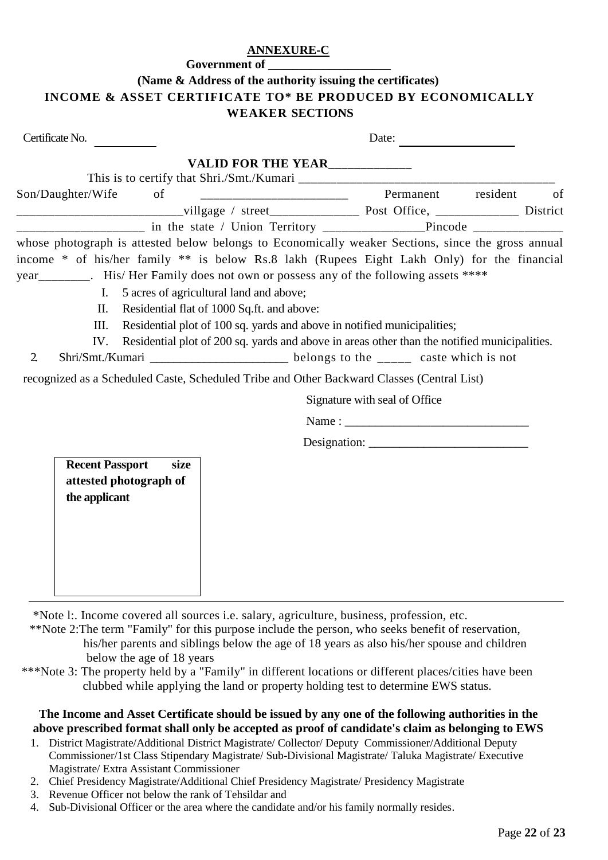### **ANNEXURE-C**

**[Government of \_\_\_\_\_\_\_\_\_\_\_\_\_\_\_\_\_\_\_\_**

# **(Name & Address of the authority issuing the certificates) INCOME & ASSET CERTIFICATE TO\* BE PRODUCED BY ECONOMICALLY WEAKER SECTIONS**

| Certificate No.                                                                                                                                                                                                                                                                            |                                            | Date:                                                                                        |    |
|--------------------------------------------------------------------------------------------------------------------------------------------------------------------------------------------------------------------------------------------------------------------------------------------|--------------------------------------------|----------------------------------------------------------------------------------------------|----|
|                                                                                                                                                                                                                                                                                            | VALID FOR THE YEAR_____________            |                                                                                              |    |
| Son/Daughter/Wife<br>of                                                                                                                                                                                                                                                                    |                                            | Permanent resident                                                                           | of |
|                                                                                                                                                                                                                                                                                            |                                            |                                                                                              |    |
|                                                                                                                                                                                                                                                                                            |                                            |                                                                                              |    |
| whose photograph is attested below belongs to Economically weaker Sections, since the gross annual<br>income * of his/her family ** is below Rs.8 lakh (Rupees Eight Lakh Only) for the financial<br>year________. His/Her Family does not own or possess any of the following assets **** |                                            |                                                                                              |    |
| I.                                                                                                                                                                                                                                                                                         | 5 acres of agricultural land and above;    |                                                                                              |    |
| II.                                                                                                                                                                                                                                                                                        | Residential flat of 1000 Sq.ft. and above: |                                                                                              |    |
| III.                                                                                                                                                                                                                                                                                       |                                            | Residential plot of 100 sq. yards and above in notified municipalities;                      |    |
| IV.                                                                                                                                                                                                                                                                                        |                                            | Residential plot of 200 sq. yards and above in areas other than the notified municipalities. |    |
| $\overline{2}$                                                                                                                                                                                                                                                                             |                                            |                                                                                              |    |
| recognized as a Scheduled Caste, Scheduled Tribe and Other Backward Classes (Central List)                                                                                                                                                                                                 |                                            |                                                                                              |    |
|                                                                                                                                                                                                                                                                                            |                                            | Signature with seal of Office                                                                |    |
|                                                                                                                                                                                                                                                                                            |                                            |                                                                                              |    |
|                                                                                                                                                                                                                                                                                            |                                            |                                                                                              |    |
| <b>Recent Passport</b><br>size<br>attested photograph of<br>the applicant                                                                                                                                                                                                                  |                                            |                                                                                              |    |

\*Note l:. Income covered all sources i.e. salary, agriculture, business, profession, etc.

 \*\*Note 2:The term "Family" for this purpose include the person, who seeks benefit of reservation, his/her parents and siblings below the age of 18 years as also his/her spouse and children below the age of 18 years

 \*\*\*Note 3: The property held by a "Family" in different locations or different places/cities have been clubbed while applying the land or property holding test to determine EWS status.

## **The Income and Asset Certificate should be issued by any one of the following authorities in the above prescribed format shall only be accepted as proof of candidate's claim as belonging to EWS**

- 1. District Magistrate/Additional District Magistrate/ Collector/ Deputy Commissioner/Additional Deputy Commissioner/1st Class Stipendary Magistrate/ Sub-Divisional Magistrate/ Taluka Magistrate/ Executive Magistrate/ Extra Assistant Commissioner
- 2. Chief Presidency Magistrate/Additional Chief Presidency Magistrate/ Presidency Magistrate
- 3. Revenue Officer not below the rank of Tehsildar and
- 4. Sub-Divisional Officer or the area where the candidate and/or his family normally resides.